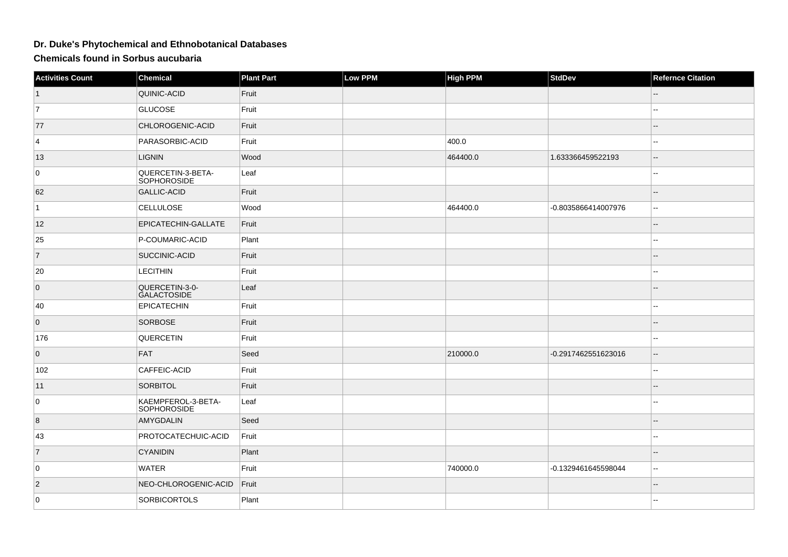## **Dr. Duke's Phytochemical and Ethnobotanical Databases**

**Chemicals found in Sorbus aucubaria**

| <b>Activities Count</b> | Chemical                                 | <b>Plant Part</b> | Low PPM | <b>High PPM</b> | <b>StdDev</b>       | <b>Refernce Citation</b> |
|-------------------------|------------------------------------------|-------------------|---------|-----------------|---------------------|--------------------------|
| $\vert$ 1               | QUINIC-ACID                              | Fruit             |         |                 |                     |                          |
| $\overline{7}$          | <b>GLUCOSE</b>                           | Fruit             |         |                 |                     | $\overline{\phantom{a}}$ |
| 77                      | CHLOROGENIC-ACID                         | Fruit             |         |                 |                     | $-$                      |
| 4                       | PARASORBIC-ACID                          | Fruit             |         | 400.0           |                     | $\overline{\phantom{a}}$ |
| 13                      | <b>LIGNIN</b>                            | Wood              |         | 464400.0        | 1.633366459522193   | $\overline{\phantom{a}}$ |
| 0                       | QUERCETIN-3-BETA-<br>SOPHOROSIDE         | Leaf              |         |                 |                     | 44                       |
| 62                      | <b>GALLIC-ACID</b>                       | Fruit             |         |                 |                     | $\qquad \qquad -$        |
| $\vert$ 1               | <b>CELLULOSE</b>                         | Wood              |         | 464400.0        | -0.8035866414007976 | --                       |
| 12                      | EPICATECHIN-GALLATE                      | Fruit             |         |                 |                     | $\overline{a}$           |
| 25                      | P-COUMARIC-ACID                          | Plant             |         |                 |                     | $\sim$                   |
| $\overline{7}$          | SUCCINIC-ACID                            | Fruit             |         |                 |                     | $- -$                    |
| 20                      | <b>LECITHIN</b>                          | Fruit             |         |                 |                     | --                       |
| $\overline{0}$          | QUERCETIN-3-0-<br>GALACTOSIDE            | Leaf              |         |                 |                     |                          |
| 40                      | <b>EPICATECHIN</b>                       | Fruit             |         |                 |                     | ۰.                       |
| $\overline{0}$          | SORBOSE                                  | Fruit             |         |                 |                     |                          |
| 176                     | QUERCETIN                                | Fruit             |         |                 |                     | щ.                       |
| $\overline{0}$          | FAT                                      | Seed              |         | 210000.0        | -0.2917462551623016 | $\overline{a}$           |
| 102                     | CAFFEIC-ACID                             | Fruit             |         |                 |                     | $\overline{a}$           |
| 11                      | SORBITOL                                 | Fruit             |         |                 |                     | --                       |
| 0                       | KAEMPFEROL-3-BETA-<br><b>SOPHOROSIDE</b> | Leaf              |         |                 |                     | --                       |
| $\overline{8}$          | AMYGDALIN                                | Seed              |         |                 |                     | $\qquad \qquad -$        |
| 43                      | PROTOCATECHUIC-ACID                      | Fruit             |         |                 |                     | --                       |
| $\overline{7}$          | <b>CYANIDIN</b>                          | Plant             |         |                 |                     | $-$                      |
| 0                       | WATER                                    | Fruit             |         | 740000.0        | -0.1329461645598044 | ۰.                       |
| $ 2\rangle$             | NEO-CHLOROGENIC-ACID                     | Fruit             |         |                 |                     | --                       |
| 0                       | <b>SORBICORTOLS</b>                      | Plant             |         |                 |                     | $\overline{a}$           |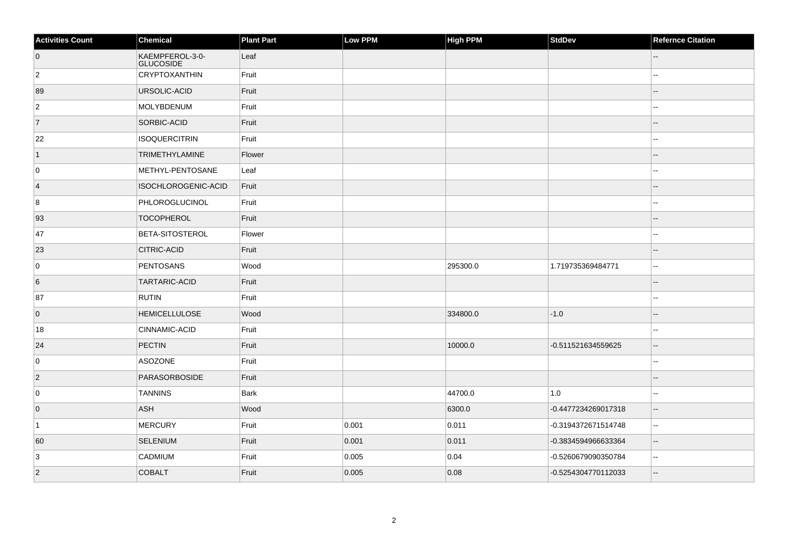| <b>Activities Count</b> | Chemical                            | <b>Plant Part</b> | Low PPM | High PPM | StdDev              | <b>Refernce Citation</b> |
|-------------------------|-------------------------------------|-------------------|---------|----------|---------------------|--------------------------|
| $\overline{0}$          | KAEMPFEROL-3-0-<br><b>GLUCOSIDE</b> | Leaf              |         |          |                     |                          |
| $\overline{2}$          | CRYPTOXANTHIN                       | Fruit             |         |          |                     |                          |
| 89                      | URSOLIC-ACID                        | Fruit             |         |          |                     |                          |
| $\overline{2}$          | MOLYBDENUM                          | Fruit             |         |          |                     | --                       |
| $\overline{7}$          | <b>SORBIC-ACID</b>                  | Fruit             |         |          |                     | $-$                      |
| 22                      | <b>ISOQUERCITRIN</b>                | Fruit             |         |          |                     |                          |
| $\vert$ 1               | <b>TRIMETHYLAMINE</b>               | Flower            |         |          |                     |                          |
| 0                       | METHYL-PENTOSANE                    | Leaf              |         |          |                     |                          |
| $\vert$ 4               | ISOCHLOROGENIC-ACID                 | Fruit             |         |          |                     |                          |
| 8                       | PHLOROGLUCINOL                      | Fruit             |         |          |                     |                          |
| 93                      | <b>TOCOPHEROL</b>                   | Fruit             |         |          |                     | $-$                      |
| 47                      | <b>BETA-SITOSTEROL</b>              | Flower            |         |          |                     | --                       |
| 23                      | <b>CITRIC-ACID</b>                  | Fruit             |         |          |                     | --                       |
| $\mathbf 0$             | PENTOSANS                           | Wood              |         | 295300.0 | 1.719735369484771   | $\overline{\phantom{a}}$ |
| 6                       | <b>TARTARIC-ACID</b>                | Fruit             |         |          |                     |                          |
| 87                      | <b>RUTIN</b>                        | Fruit             |         |          |                     | --                       |
| $\overline{0}$          | <b>HEMICELLULOSE</b>                | Wood              |         | 334800.0 | $-1.0$              |                          |
| 18                      | <b>CINNAMIC-ACID</b>                | Fruit             |         |          |                     | --                       |
| 24                      | PECTIN                              | Fruit             |         | 10000.0  | -0.511521634559625  | $\overline{\phantom{a}}$ |
| $\mathbf 0$             | ASOZONE                             | Fruit             |         |          |                     |                          |
| $\vert$ 2               | <b>PARASORBOSIDE</b>                | Fruit             |         |          |                     |                          |
| 0                       | <b>TANNINS</b>                      | <b>Bark</b>       |         | 44700.0  | 1.0                 | ۵۵                       |
| $\overline{0}$          | ASH                                 | Wood              |         | 6300.0   | -0.4477234269017318 | --                       |
| $\vert$ 1               | MERCURY                             | Fruit             | 0.001   | 0.011    | -0.3194372671514748 | $\overline{\phantom{a}}$ |
| 60                      | SELENIUM                            | Fruit             | 0.001   | 0.011    | -0.3834594966633364 | $\overline{\phantom{a}}$ |
| 3                       | <b>CADMIUM</b>                      | Fruit             | 0.005   | 0.04     | -0.5260679090350784 | --                       |
| $ 2\rangle$             | <b>COBALT</b>                       | Fruit             | 0.005   | 0.08     | -0.5254304770112033 | Ξ.                       |